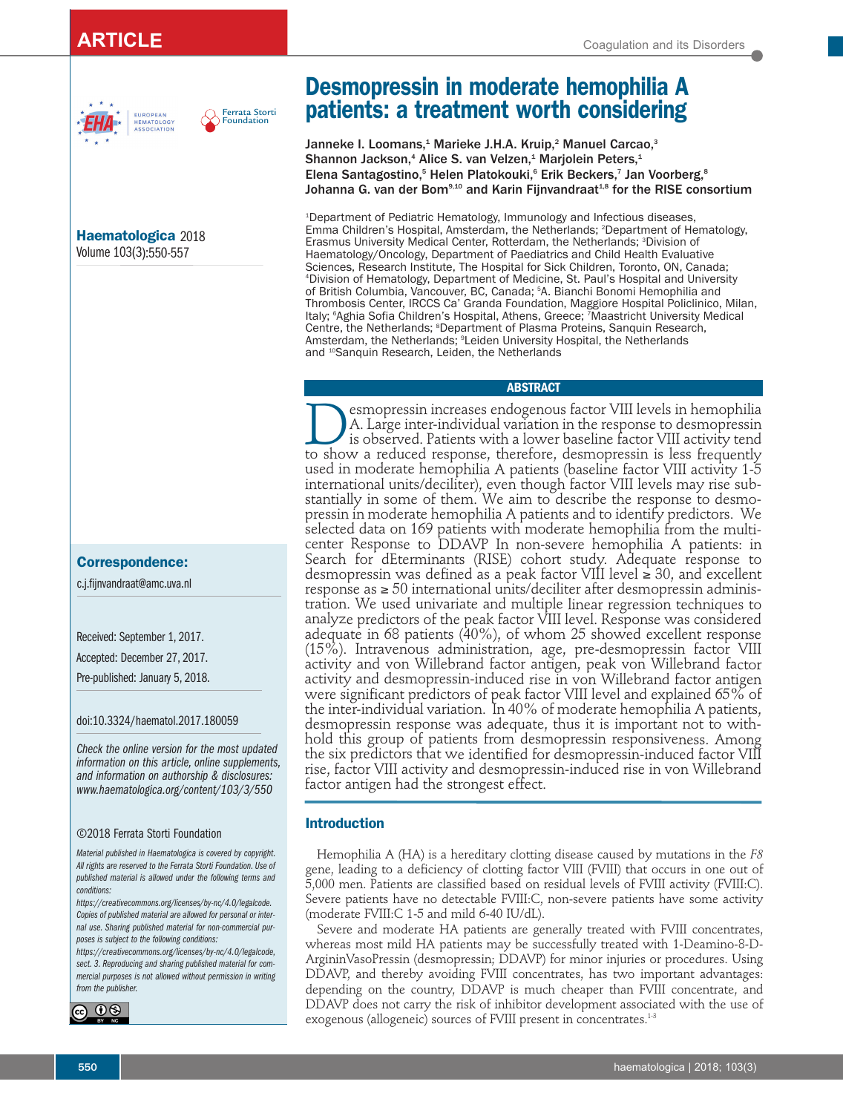



**Haematologica** 2018 Volume 103(3):550-557

**JROPEAN** 

# **Correspondence:**

c.j.fijnvandraat@amc.uva.nl

Received: September 1, 2017.

Accepted: December 27, 2017.

Pre-published: January 5, 2018.

#### doi:10.3324/haematol.2017.180059

*Check the online version for the most updated information on this article, online supplements, and information on authorship & disclosures: www.haematologica.org/content/103/3/550*

#### ©2018 Ferrata Storti Foundation

*Material published in Haematologica is covered by copyright. All rights are reserved to the Ferrata Storti Foundation. Use of published material is allowed under the following terms and conditions:* 

*https://creativecommons.org/licenses/by-nc/4.0/legalcode. Copies of published material are allowed for personal or internal use. Sharing published material for non-commercial purposes is subject to the following conditions:* 

*https://creativecommons.org/licenses/by-nc/4.0/legalcode, sect. 3. Reproducing and sharing published material for commercial purposes is not allowed without permission in writing from the publisher.*



# **Desmopressin in moderate hemophilia A patients: a treatment worth considering**

Janneke I. Loomans,<sup>1</sup> Marieke J.H.A. Kruip,<sup>2</sup> Manuel Carcao,<sup>3</sup> Shannon Jackson,<sup>4</sup> Alice S. van Velzen,<sup>1</sup> Marjolein Peters,<sup>1</sup> Elena Santagostino,<sup>5</sup> Helen Platokouki,<sup>6</sup> Erik Beckers,<sup>7</sup> Jan Voorberg,<sup>8</sup> Johanna G. van der Bom<sup>9,10</sup> and Karin Fijnvandraat<sup>1,8</sup> for the RISE consortium

1 Department of Pediatric Hematology, Immunology and Infectious diseases, Emma Children's Hospital, Amsterdam, the Netherlands; 2 Department of Hematology, Erasmus University Medical Center, Rotterdam, the Netherlands; 3 Division of Haematology/Oncology, Department of Paediatrics and Child Health Evaluative Sciences, Research Institute, The Hospital for Sick Children, Toronto, ON, Canada; 4 Division of Hematology, Department of Medicine, St. Paul's Hospital and University of British Columbia, Vancouver, BC, Canada; 5 A. Bianchi Bonomi Hemophilia and Thrombosis Center, IRCCS Ca' Granda Foundation, Maggiore Hospital Policlinico, Milan, Italy; 6 Aghia Sofia Children's Hospital, Athens, Greece; 7 Maastricht University Medical Centre, the Netherlands; <sup>s</sup>Department of Plasma Proteins, Sanquin Research, Amsterdam, the Netherlands; °Leiden University Hospital, the Netherlands and <sup>10</sup>Sanquin Research, Leiden, the Netherlands

# **ABSTRACT**

**Desmopressin increases endogenous factor VIII levels in hemophilia**<br>A. Large inter-individual variation in the response to desmopressin<br>is observed. Patients with a lower baseline factor VIII activity tend A. Large inter-individual variation in the response to desmopressin is observed. Patients with a lower baseline factor VIII activity tend to show a reduced response, therefore, desmopressin is less frequently used in moderate hemophilia A patients (baseline factor VIII activity 1-5 international units/deciliter), even though factor VIII levels may rise substantially in some of them. We aim to describe the response to desmopressin in moderate hemophilia A patients and to identify predictors. We selected data on 169 patients with moderate hemophilia from the multicenter Response to DDAVP In non-severe hemophilia A patients: in Search for dEterminants (RISE) cohort study. Adequate response to desmopressin was defined as a peak factor VIII level  $\geq 30$ , and excellent response as  $\geq$  50 international units/deciliter after desmopressin administration. We used univariate and multiple linear regression techniques to analyze predictors of the peak factor VIII level. Response was considered adequate in 68 patients (40%), of whom 25 showed excellent response (15%). Intravenous administration, age, pre-desmopressin factor VIII activity and von Willebrand factor antigen, peak von Willebrand factor activity and desmopressin-induced rise in von Willebrand factor antigen were significant predictors of peak factor VIII level and explained 65% of the inter-individual variation. In 40% of moderate hemophilia A patients, desmopressin response was adequate, thus it is important not to withhold this group of patients from desmopressin responsiveness. Among the six predictors that we identified for desmopressin-induced factor VIII rise, factor VIII activity and desmopressin-induced rise in von Willebrand factor antigen had the strongest effect.

#### **Introduction**

Hemophilia A (HA) is a hereditary clotting disease caused by mutations in the *F8* gene, leading to a deficiency of clotting factor VIII (FVIII) that occurs in one out of 5,000 men. Patients are classified based on residual levels of FVIII activity (FVIII:C). Severe patients have no detectable FVIII:C, non-severe patients have some activity (moderate FVIII:C 1-5 and mild 6-40 IU/dL).

Severe and moderate HA patients are generally treated with FVIII concentrates, whereas most mild HA patients may be successfully treated with 1-Deamino-8-D-ArgininVasoPressin (desmopressin; DDAVP) for minor injuries or procedures. Using DDAVP, and thereby avoiding FVIII concentrates, has two important advantages: depending on the country, DDAVP is much cheaper than FVIII concentrate, and DDAVP does not carry the risk of inhibitor development associated with the use of exogenous (allogeneic) sources of FVIII present in concentrates.<sup>1-3</sup>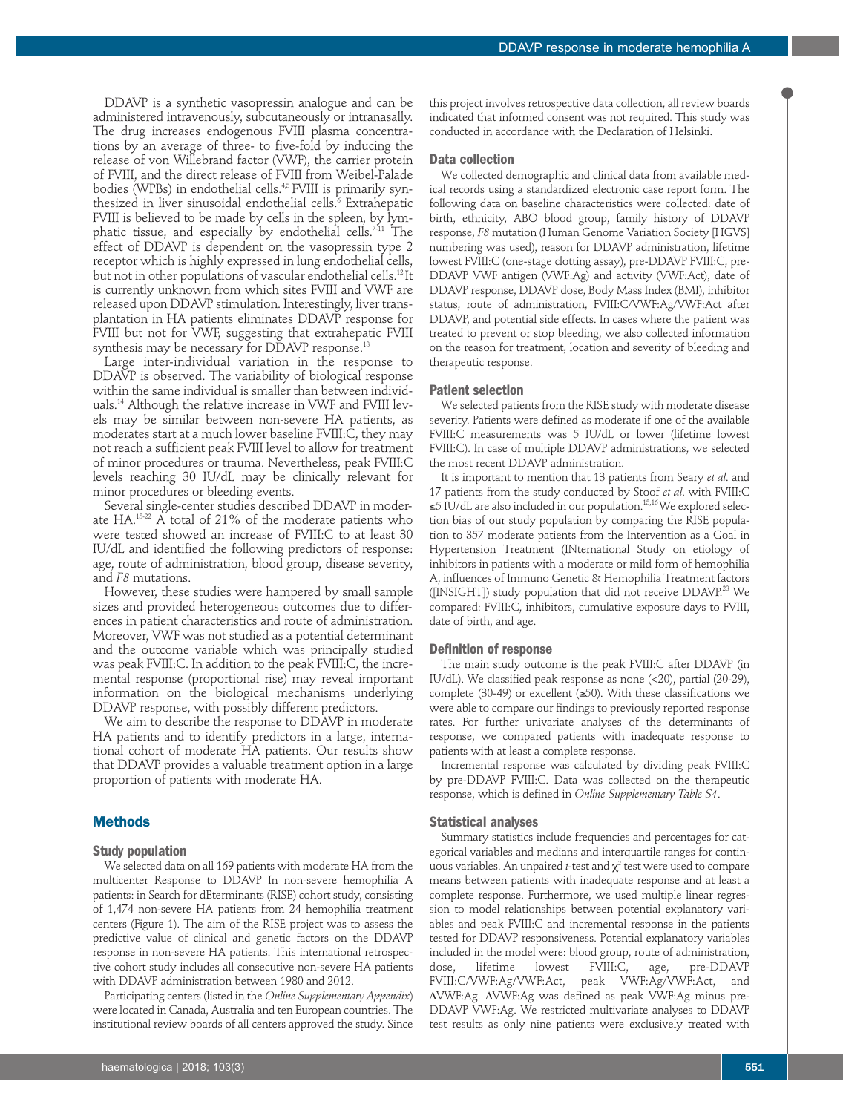DDAVP is a synthetic vasopressin analogue and can be administered intravenously, subcutaneously or intranasally. The drug increases endogenous FVIII plasma concentrations by an average of three- to five-fold by inducing the release of von Willebrand factor (VWF), the carrier protein of FVIII, and the direct release of FVIII from Weibel-Palade bodies (WPBs) in endothelial cells.<sup>4,5</sup> FVIII is primarily synthesized in liver sinusoidal endothelial cells.<sup>6</sup> Extrahepatic FVIII is believed to be made by cells in the spleen, by lymphatic tissue, and especially by endothelial cells.<sup>711</sup> The effect of DDAVP is dependent on the vasopressin type 2 receptor which is highly expressed in lung endothelial cells, but not in other populations of vascular endothelial cells.<sup>12</sup>It is currently unknown from which sites FVIII and VWF are released upon DDAVP stimulation. Interestingly, liver transplantation in HA patients eliminates DDAVP response for FVIII but not for VWF, suggesting that extrahepatic FVIII synthesis may be necessary for DDAVP response.<sup>13</sup>

Large inter-individual variation in the response to DDAVP is observed. The variability of biological response within the same individual is smaller than between individuals.14 Although the relative increase in VWF and FVIII levels may be similar between non-severe HA patients, as moderates start at a much lower baseline FVIII:C, they may not reach a sufficient peak FVIII level to allow for treatment of minor procedures or trauma. Nevertheless, peak FVIII:C levels reaching 30 IU/dL may be clinically relevant for minor procedures or bleeding events.

Several single-center studies described DDAVP in moderate HA.<sup>15-22</sup> A total of 21% of the moderate patients who were tested showed an increase of FVIII:C to at least 30 IU/dL and identified the following predictors of response: age, route of administration, blood group, disease severity, and *F8* mutations.

However, these studies were hampered by small sample sizes and provided heterogeneous outcomes due to differences in patient characteristics and route of administration. Moreover, VWF was not studied as a potential determinant and the outcome variable which was principally studied was peak FVIII:C. In addition to the peak FVIII:C, the incremental response (proportional rise) may reveal important information on the biological mechanisms underlying DDAVP response, with possibly different predictors.

We aim to describe the response to DDAVP in moderate HA patients and to identify predictors in a large, international cohort of moderate HA patients. Our results show that DDAVP provides a valuable treatment option in a large proportion of patients with moderate HA.

# **Methods**

#### **Study population**

We selected data on all 169 patients with moderate HA from the multicenter Response to DDAVP In non-severe hemophilia A patients: in Search for dEterminants (RISE) cohort study, consisting of 1,474 non-severe HA patients from 24 hemophilia treatment centers (Figure 1). The aim of the RISE project was to assess the predictive value of clinical and genetic factors on the DDAVP response in non-severe HA patients. This international retrospective cohort study includes all consecutive non-severe HA patients with DDAVP administration between 1980 and 2012.

Participating centers (listed in the *Online Supplementary Appendix*) were located in Canada, Australia and ten European countries. The institutional review boards of all centers approved the study. Since

this project involves retrospective data collection, all review boards indicated that informed consent was not required. This study was conducted in accordance with the Declaration of Helsinki.

# **Data collection**

We collected demographic and clinical data from available medical records using a standardized electronic case report form. The following data on baseline characteristics were collected: date of birth, ethnicity, ABO blood group, family history of DDAVP response, *F8* mutation (Human Genome Variation Society [HGVS] numbering was used), reason for DDAVP administration, lifetime lowest FVIII:C (one-stage clotting assay), pre-DDAVP FVIII:C, pre-DDAVP VWF antigen (VWF:Ag) and activity (VWF:Act), date of DDAVP response, DDAVP dose, Body Mass Index (BMI), inhibitor status, route of administration, FVIII:C/VWF:Ag/VWF:Act after DDAVP, and potential side effects. In cases where the patient was treated to prevent or stop bleeding, we also collected information on the reason for treatment, location and severity of bleeding and therapeutic response.

#### **Patient selection**

We selected patients from the RISE study with moderate disease severity. Patients were defined as moderate if one of the available FVIII:C measurements was 5 IU/dL or lower (lifetime lowest FVIII:C). In case of multiple DDAVP administrations, we selected the most recent DDAVP administration.

It is important to mention that 13 patients from Seary *et al*. and 17 patients from the study conducted by Stoof *et al*. with FVIII:C ≤5 IU/dL are also included in our population.15,16 We explored selection bias of our study population by comparing the RISE population to 357 moderate patients from the Intervention as a Goal in Hypertension Treatment (INternational Study on etiology of inhibitors in patients with a moderate or mild form of hemophilia A, influences of Immuno Genetic & Hemophilia Treatment factors ([INSIGHT]) study population that did not receive DDAVP.<sup>23</sup> We compared: FVIII:C, inhibitors, cumulative exposure days to FVIII, date of birth, and age.

#### **Definition of response**

The main study outcome is the peak FVIII:C after DDAVP (in IU/dL). We classified peak response as none (<20), partial (20-29), complete (30-49) or excellent (≥50). With these classifications we were able to compare our findings to previously reported response rates. For further univariate analyses of the determinants of response, we compared patients with inadequate response to patients with at least a complete response.

Incremental response was calculated by dividing peak FVIII:C by pre-DDAVP FVIII:C. Data was collected on the therapeutic response, which is defined in *Online Supplementary Table S1*.

#### **Statistical analyses**

Summary statistics include frequencies and percentages for categorical variables and medians and interquartile ranges for continuous variables. An unpaired *t*-test and  $\chi^2$  test were used to compare means between patients with inadequate response and at least a complete response. Furthermore, we used multiple linear regression to model relationships between potential explanatory variables and peak FVIII:C and incremental response in the patients tested for DDAVP responsiveness. Potential explanatory variables included in the model were: blood group, route of administration, dose, lifetime lowest FVIII:C, age, pre-DDAVP FVIII:C/VWF:Ag/VWF:Act, peak VWF:Ag/VWF:Act, and  $\Delta$ VWF:Ag.  $\Delta$ VWF:Ag was defined as peak VWF:Ag minus pre-DDAVP VWF:Ag. We restricted multivariate analyses to DDAVP test results as only nine patients were exclusively treated with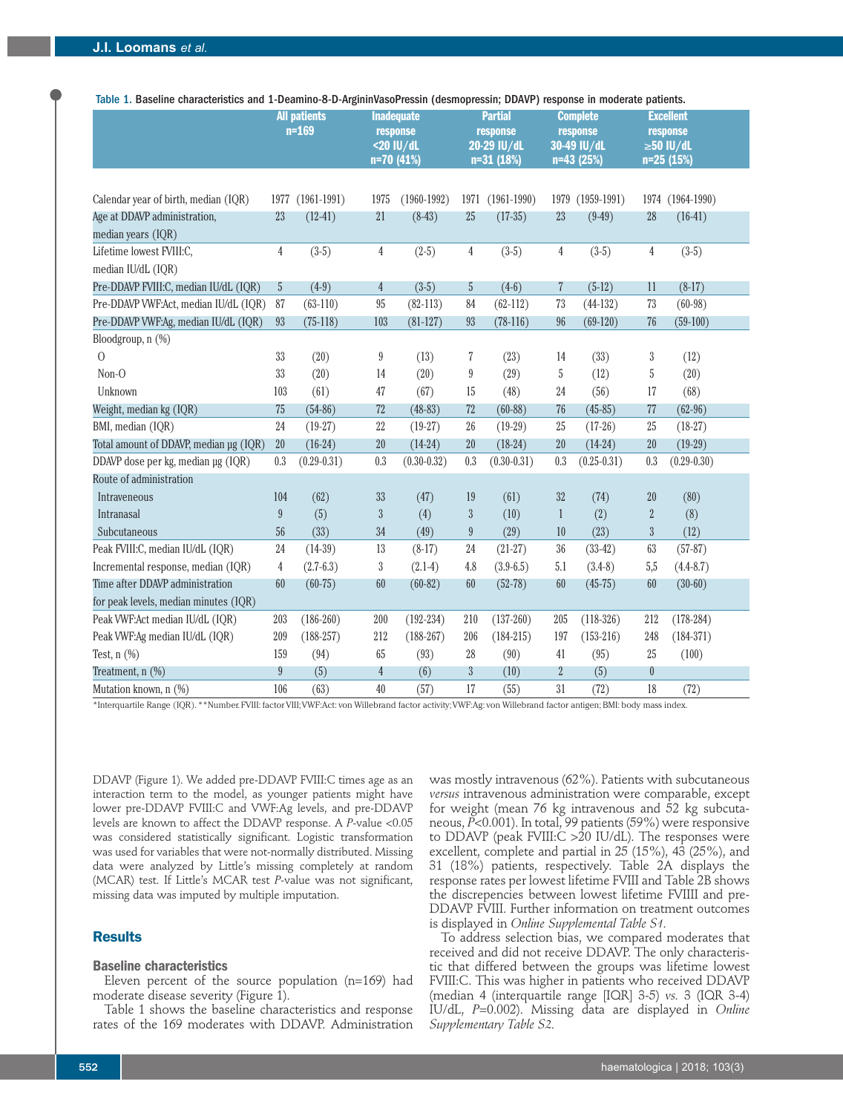| characteristics and I Deaning o D Algumnasor Icssin (acsimplicssin, DDATI / Icsponse in moderate patients. |                  | <b>All patients</b> |                | <b>Inadequate</b> |                           | <b>Partial</b>  | <b>Complete</b> |                 |                | <b>Excellent</b> |
|------------------------------------------------------------------------------------------------------------|------------------|---------------------|----------------|-------------------|---------------------------|-----------------|-----------------|-----------------|----------------|------------------|
|                                                                                                            |                  | $n = 169$           |                | response          |                           | response        | response        |                 |                | response         |
|                                                                                                            |                  |                     |                | <20 IU/dL         |                           | 20-29 IU/dL     |                 | 30-49 IU/dL     |                | $\geq 50$ IU/dL  |
|                                                                                                            |                  |                     | n=70 (41%)     |                   |                           | $n=31(18%)$     |                 | n=43 (25%)      |                | n=25 (15%)       |
|                                                                                                            |                  |                     |                |                   |                           |                 |                 |                 |                |                  |
| Calendar year of birth, median (IQR)                                                                       | 1977             | $(1961-1991)$       | 1975           | $(1960 - 1992)$   | 1971                      | $(1961 - 1990)$ | 1979            | $(1959-1991)$   |                | 1974 (1964-1990) |
| Age at DDAVP administration,                                                                               | 23               | $(12-41)$           | 21             | $(8-43)$          | 25                        | $(17-35)$       | 23              | $(9-49)$        | 28             | $(16-41)$        |
| median years (IQR)                                                                                         |                  |                     |                |                   |                           |                 |                 |                 |                |                  |
| Lifetime lowest FVIII:C,                                                                                   | 4                | $(3-5)$             | $\overline{4}$ | $(2-5)$           | 4                         | $(3-5)$         | 4               | $(3-5)$         | 4              | $(3-5)$          |
| median IU/dL (IQR)                                                                                         |                  |                     |                |                   |                           |                 |                 |                 |                |                  |
| Pre-DDAVP FVIII:C, median IU/dL (IQR)                                                                      | 5                | $(4-9)$             | 4              | $(3-5)$           | 5                         | $(4-6)$         | 7               | $(5-12)$        | 11             | $(8-17)$         |
| Pre-DDAVP VWF:Act, median IU/dL (IQR)                                                                      | 87               | $(63-110)$          | $95\,$         | $(82-113)$        | 84                        | $(62-112)$      | 73              | $(44-132)$      | 73             | $(60-98)$        |
| Pre-DDAVP VWF:Ag, median IU/dL (IQR)                                                                       | 93               | $(75-118)$          | 103            | $(81-127)$        | 93                        | $(78-116)$      | 96              | $(69-120)$      | 76             | $(59-100)$       |
| Bloodgroup, n (%)                                                                                          |                  |                     |                |                   |                           |                 |                 |                 |                |                  |
| $\overline{O}$                                                                                             | 33               | (20)                | 9              | (13)              | 7                         | (23)            | 14              | (33)            | $\sqrt{3}$     | (12)             |
| Non-O                                                                                                      | 33               | (20)                | 14             | (20)              | 9                         | (29)            | 5               | (12)            | $\sqrt{5}$     | (20)             |
| Unknown                                                                                                    | 103              | (61)                | $47\,$         | (67)              | 15                        | (48)            | 24              | (56)            | 17             | (68)             |
| Weight, median kg (IQR)                                                                                    | 75               | $(54-86)$           | 72             | $(48-83)$         | 72                        | $(60-88)$       | 76              | $(45-85)$       | 77             | $(62-96)$        |
| BMI, median (IQR)                                                                                          | 24               | $(19-27)$           | $22\,$         | $(19-27)$         | 26                        | $(19-29)$       | 25              | $(17-26)$       | 25             | $(18-27)$        |
| Total amount of DDAVP, median µg (IQR)                                                                     | 20               | $(16-24)$           | 20             | $(14-24)$         | 20                        | $(18-24)$       | 20              | $(14-24)$       | 20             | $(19-29)$        |
| DDAVP dose per kg, median µg (IQR)                                                                         | 0.3              | $(0.29 - 0.31)$     | 0.3            | $(0.30 - 0.32)$   | 0.3                       | $(0.30 - 0.31)$ | 0.3             | $(0.25 - 0.31)$ | 0.3            | $(0.29 - 0.30)$  |
| Route of administration                                                                                    |                  |                     |                |                   |                           |                 |                 |                 |                |                  |
| Intraveneous                                                                                               | 104              | (62)                | 33             | (47)              | 19                        | (61)            | 32              | (74)            | 20             | (80)             |
| Intranasal                                                                                                 | $\boldsymbol{9}$ | (5)                 | $\sqrt{3}$     | (4)               | $\boldsymbol{\mathrm{3}}$ | (10)            | $\mathbf{1}$    | (2)             | $\sqrt{2}$     | (8)              |
| Subcutaneous                                                                                               | 56               | (33)                | $34\,$         | (49)              | $\boldsymbol{9}$          | (29)            | $10\,$          | (23)            | $\mathfrak{Z}$ | (12)             |
| Peak FVIII:C, median IU/dL (IQR)                                                                           | 24               | $(14-39)$           | 13             | $(8-17)$          | 24                        | $(21-27)$       | $36\,$          | $(33-42)$       | 63             | $(57-87)$        |
| Incremental response, median (IQR)                                                                         | 4                | $(2.7-6.3)$         | 3              | $(2.1-4)$         | 4.8                       | $(3.9 - 6.5)$   | 5.1             | $(3.4-8)$       | 5,5            | $(4.4 - 8.7)$    |
| Time after DDAVP administration                                                                            | 60               | $(60-75)$           | 60             | $(60-82)$         | 60                        | $(52-78)$       | 60              | $(45-75)$       | 60             | $(30-60)$        |
| for peak levels, median minutes (IQR)                                                                      |                  |                     |                |                   |                           |                 |                 |                 |                |                  |
| Peak VWF:Act median IU/dL (IQR)                                                                            | 203              | $(186-260)$         | 200            | $(192 - 234)$     | 210                       | $(137-260)$     | 205             | $(118-326)$     | 212            | $(178-284)$      |
| Peak VWF:Ag median IU/dL (IQR)                                                                             | 209              | $(188 - 257)$       | 212            | $(188-267)$       | 206                       | $(184-215)$     | 197             | $(153-216)$     | 248            | $(184-371)$      |
| Test, $n$ $(\%)$                                                                                           | 159              | (94)                | 65             | (93)              | 28                        | (90)            | 41              | (95)            | 25             | (100)            |
| Treatment, n (%)                                                                                           | $9\phantom{.0}$  | (5)                 | $\overline{4}$ | (6)               | $\overline{3}$            | (10)            | $\overline{2}$  | (5)             | $\pmb{0}$      |                  |
| Mutation known, n (%)                                                                                      | 106              | (63)                | 40             | (57)              | 17                        | (55)            | 31              | (72)            | 18             | (72)             |

\*Interquartile Range (IQR). \*\*Number. FVIII: factor VIII; VWF:Act: von Willebrand factor activity; VWF:Ag: von Willebrand factor antigen; BMI: body mass index.

DDAVP (Figure 1). We added pre-DDAVP FVIII:C times age as an interaction term to the model, as younger patients might have lower pre-DDAVP FVIII:C and VWF:Ag levels, and pre-DDAVP levels are known to affect the DDAVP response. A *P*-value <0.05 was considered statistically significant. Logistic transformation was used for variables that were not-normally distributed. Missing data were analyzed by Little's missing completely at random (MCAR) test. If Little's MCAR test *P*-value was not significant, missing data was imputed by multiple imputation.

#### **Results**

# **Baseline characteristics**

Eleven percent of the source population (n=169) had moderate disease severity (Figure 1).

Table 1 shows the baseline characteristics and response rates of the 169 moderates with DDAVP. Administration was mostly intravenous (62%). Patients with subcutaneous *versus* intravenous administration were comparable, except for weight (mean 76 kg intravenous and 52 kg subcutaneous, *P*<0.001). In total, 99 patients (59%) were responsive to  $D\overrightarrow{D}$ AVP (peak FVIII: $C > 20$  IU/dL). The responses were excellent, complete and partial in 25 (15%), 43 (25%), and 31 (18%) patients, respectively. Table 2A displays the response rates per lowest lifetime FVIII and Table 2B shows the discrepencies between lowest lifetime FVIIII and pre-DDAVP FVIII. Further information on treatment outcomes is displayed in *Online Supplemental Table S1.*

To address selection bias, we compared moderates that received and did not receive DDAVP. The only characteristic that differed between the groups was lifetime lowest FVIII:C. This was higher in patients who received DDAVP (median 4 (interquartile range [IQR] 3-5) *vs.* 3 (IQR 3-4) IU/dL, *P*=0.002). Missing data are displayed in *Online Supplementary Table S2.*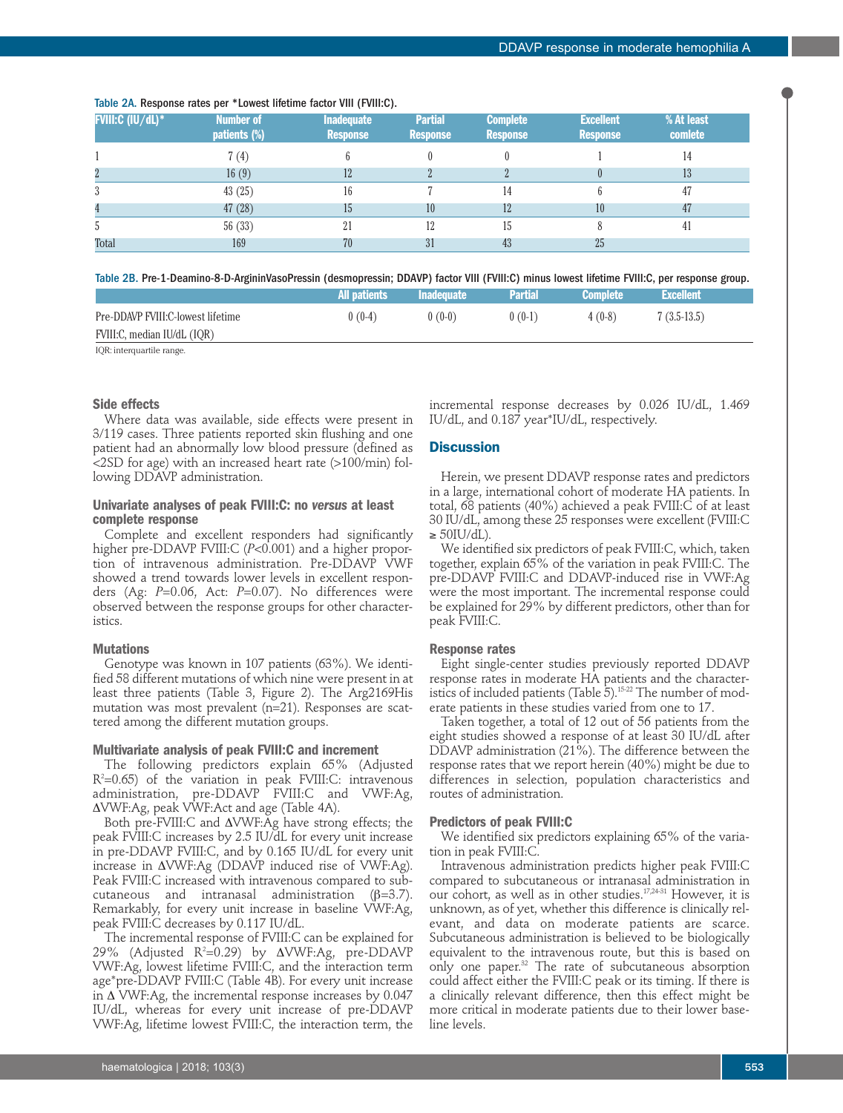| <b>FVIII:C (IU/dL)*</b> | Number of<br>patients (%) | <b>Inadequate</b><br><b>Response</b> | <b>Partial</b><br><b>Response</b> | <b>Complete</b><br><b>Response</b> | <b>Excellent</b><br><b>Response</b> | % At least<br>comlete |  |
|-------------------------|---------------------------|--------------------------------------|-----------------------------------|------------------------------------|-------------------------------------|-----------------------|--|
|                         | 7 (4)                     |                                      |                                   |                                    |                                     | 14                    |  |
|                         | 16(9)                     | 12                                   | $\Omega$                          |                                    |                                     | 13                    |  |
|                         | 43(25)                    | 16                                   |                                   | 14                                 | 6                                   | 47                    |  |
|                         | 47(28)                    | 15                                   | 10                                | 12                                 | 10                                  | 47                    |  |
|                         | 56(33)                    | 21                                   | 12                                | 15                                 |                                     | 41                    |  |
| Total                   | 169                       | 70                                   | 31                                | 43                                 | 25                                  |                       |  |

#### Table 2A. Response rates per \*Lowest lifetime factor VIII (FVIII:C).

Table 2B. Pre-1-Deamino-8-D-ArgininVasoPressin (desmopressin; DDAVP) factor VIII (FVIII:C) minus lowest lifetime FVIII:C, per response group.

|                                   | All patients | <b>Inadequate</b> | <b>Partial</b> | <b>Complete</b> | <b>Excellent</b> ' |  |
|-----------------------------------|--------------|-------------------|----------------|-----------------|--------------------|--|
| Pre-DDAVP FVIII:C-lowest lifetime | $0(0-4)$     | $0(0-0)$          | $0(0-1)$       | $4(0-8)$        | $7(3.5-13.5)$      |  |
| FVIII:C, median IU/dL (IQR)       |              |                   |                |                 |                    |  |

IOR: interquartile range.

#### **Side effects**

Where data was available, side effects were present in 3/119 cases. Three patients reported skin flushing and one patient had an abnormally low blood pressure (defined as <2SD for age) with an increased heart rate (>100/min) following DDAVP administration.

### **Univariate analyses of peak FVIII:C: no** *versus* **at least complete response**

Complete and excellent responders had significantly higher pre-DDAVP FVIII:C (*P*<0.001) and a higher proportion of intravenous administration. Pre-DDAVP VWF showed a trend towards lower levels in excellent responders (Ag: *P*=0.06, Act: *P*=0.07). No differences were observed between the response groups for other characteristics.

#### **Mutations**

Genotype was known in 107 patients (63%). We identified 58 different mutations of which nine were present in at least three patients (Table 3, Figure 2). The Arg2169His mutation was most prevalent (n=21). Responses are scattered among the different mutation groups.

#### **Multivariate analysis of peak FVIII:C and increment**

The following predictors explain 65% (Adjusted R2 =0.65) of the variation in peak FVIII:C: intravenous administration, pre-DDAVP FVIII:C and VWF:Ag,  $\Delta$ VWF:Ag, peak VWF:Act and age (Table 4A).

Both pre-FVIII: C and  $\Delta$ VWF: Ag have strong effects; the peak FVIII:C increases by 2.5 IU/dL for every unit increase in pre-DDAVP FVIII:C, and by 0.165 IU/dL for every unit increase in  $\triangle$ VWF:Ag (DDAVP induced rise of VWF:Ag). Peak FVIII:C increased with intravenous compared to subcutaneous and intranasal administration (β=3.7). Remarkably, for every unit increase in baseline VWF:Ag, peak FVIII:C decreases by 0.117 IU/dL.

The incremental response of FVIII:C can be explained for 29% (Adjusted R<sup>2</sup>=0.29) by ΔVWF:Ag, pre-DDAVP VWF:Ag, lowest lifetime FVIII:C, and the interaction term age\*pre-DDAVP FVIII:C (Table 4B). For every unit increase in  $\Delta$  VWF:Ag, the incremental response increases by 0.047 IU/dL, whereas for every unit increase of pre-DDAVP VWF:Ag, lifetime lowest FVIII:C, the interaction term, the

incremental response decreases by 0.026 IU/dL, 1.469 IU/dL, and 0.187 year\*IU/dL, respectively.

# **Discussion**

Herein, we present DDAVP response rates and predictors in a large, international cohort of moderate HA patients. In total, 68 patients (40%) achieved a peak FVIII:C of at least 30 IU/dL, among these 25 responses were excellent (FVIII:C  $\geq 50$ IU/dL).

We identified six predictors of peak FVIII:C, which, taken together, explain 65% of the variation in peak FVIII:C. The pre-DDAVP FVIII:C and DDAVP-induced rise in VWF:Ag were the most important. The incremental response could be explained for 29% by different predictors, other than for peak FVIII:C.

#### **Response rates**

Eight single-center studies previously reported DDAVP response rates in moderate HA patients and the characteristics of included patients (Table 5).<sup>15-22</sup> The number of moderate patients in these studies varied from one to 17.

Taken together, a total of 12 out of 56 patients from the eight studies showed a response of at least 30 IU/dL after DDAVP administration (21%). The difference between the response rates that we report herein (40%) might be due to differences in selection, population characteristics and routes of administration.

#### **Predictors of peak FVIII:C**

We identified six predictors explaining 65% of the variation in peak FVIII:C.

Intravenous administration predicts higher peak FVIII:C compared to subcutaneous or intranasal administration in our cohort, as well as in other studies.17,24-31 However, it is unknown, as of yet, whether this difference is clinically relevant, and data on moderate patients are scarce. Subcutaneous administration is believed to be biologically equivalent to the intravenous route, but this is based on only one paper.32 The rate of subcutaneous absorption could affect either the FVIII:C peak or its timing. If there is a clinically relevant difference, then this effect might be more critical in moderate patients due to their lower baseline levels.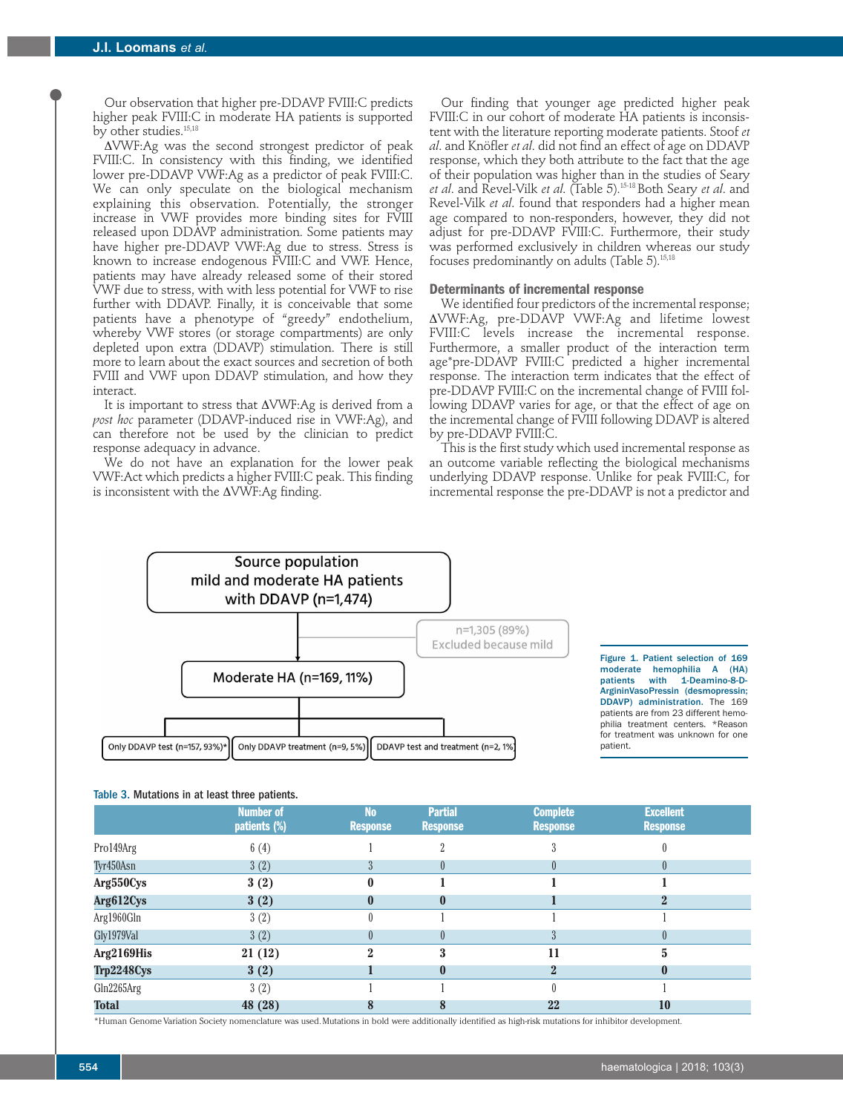Our observation that higher pre-DDAVP FVIII:C predicts higher peak FVIII:C in moderate HA patients is supported by other studies.<sup>15,18</sup>

 $\Delta$ VWF:Ag was the second strongest predictor of peak FVIII:C. In consistency with this finding, we identified lower pre-DDAVP VWF:Ag as a predictor of peak FVIII:C. We can only speculate on the biological mechanism explaining this observation. Potentially, the stronger increase in VWF provides more binding sites for FVIII released upon DDAVP administration. Some patients may have higher pre-DDAVP VWF:Ag due to stress. Stress is known to increase endogenous FVIII:C and VWF. Hence, patients may have already released some of their stored VWF due to stress, with with less potential for VWF to rise further with DDAVP. Finally, it is conceivable that some patients have a phenotype of "greedy" endothelium, whereby VWF stores (or storage compartments) are only depleted upon extra (DDAVP) stimulation. There is still more to learn about the exact sources and secretion of both FVIII and VWF upon DDAVP stimulation, and how they interact.

It is important to stress that  $\Delta$ VWF:Ag is derived from a *post hoc* parameter (DDAVP-induced rise in VWF:Ag), and can therefore not be used by the clinician to predict response adequacy in advance.

We do not have an explanation for the lower peak VWF:Act which predicts a higher FVIII:C peak. This finding is inconsistent with the  $\Delta\text{VWF:}$  Ag finding.

Our finding that younger age predicted higher peak FVIII:C in our cohort of moderate HA patients is inconsistent with the literature reporting moderate patients. Stoof *et al*. and Knöfler *et al*. did not find an effect of age on DDAVP response, which they both attribute to the fact that the age of their population was higher than in the studies of Seary *et al*. and Revel-Vilk *et al*. (Table 5).15-18 Both Seary *et al*. and Revel-Vilk *et al*. found that responders had a higher mean age compared to non-responders, however, they did not adjust for pre-DDAVP FVIII:C. Furthermore, their study was performed exclusively in children whereas our study focuses predominantly on adults (Table 5).15,18

#### **Determinants of incremental response**

We identified four predictors of the incremental response; DVWF:Ag, pre-DDAVP VWF:Ag and lifetime lowest FVIII:C levels increase the incremental response. Furthermore, a smaller product of the interaction term age\*pre-DDAVP FVIII:C predicted a higher incremental response. The interaction term indicates that the effect of pre-DDAVP FVIII:C on the incremental change of FVIII following DDAVP varies for age, or that the effect of age on the incremental change of FVIII following DDAVP is altered by pre-DDAVP FVIII:C.

This is the first study which used incremental response as an outcome variable reflecting the biological mechanisms underlying DDAVP response. Unlike for peak FVIII:C, for incremental response the pre-DDAVP is not a predictor and



Figure 1. Patient selection of 169 moderate hemophilia A (HA) patients with 1-Deamino-8-D-ArgininVasoPressin (desmopressin; DDAVP) administration. The 169 patients are from 23 different hemophilia treatment centers. \*Reason for treatment was unknown for one patient.

#### Table 3. Mutations in at least three patients.

|              | <b>Number of</b><br>patients (%) | <b>No</b><br><b>Response</b> | <b>Partial</b><br><b>Response</b> | <b>Complete</b><br><b>Response</b> | <b>Excellent</b><br><b>Response</b> |  |
|--------------|----------------------------------|------------------------------|-----------------------------------|------------------------------------|-------------------------------------|--|
| Pro149Arg    | 6(4)                             |                              |                                   |                                    |                                     |  |
| Tyr450Asn    | 3(2)                             |                              |                                   |                                    |                                     |  |
| Arg550Cys    | 3(2)                             |                              |                                   |                                    |                                     |  |
| Arg612Cys    | 3(2)                             | 0                            | $\mathbf{0}$                      |                                    |                                     |  |
| Arg1960Gln   | 3(2)                             |                              |                                   |                                    |                                     |  |
| Gly1979Val   | 3(2)                             |                              |                                   |                                    |                                     |  |
| Arg2169His   | 21(12)                           | 2                            |                                   | 11                                 |                                     |  |
| Trp2248Cys   | 3(2)                             |                              | $\bf{0}$                          | $\bf{2}$                           |                                     |  |
| Gln2265Arg   | 3(2)                             |                              |                                   |                                    |                                     |  |
| <b>Total</b> | 48 (28)                          |                              |                                   | 22                                 | 10                                  |  |

\*Human Genome Variation Society nomenclature was used. Mutations in bold were additionally identified as high-risk mutations for inhibitor development.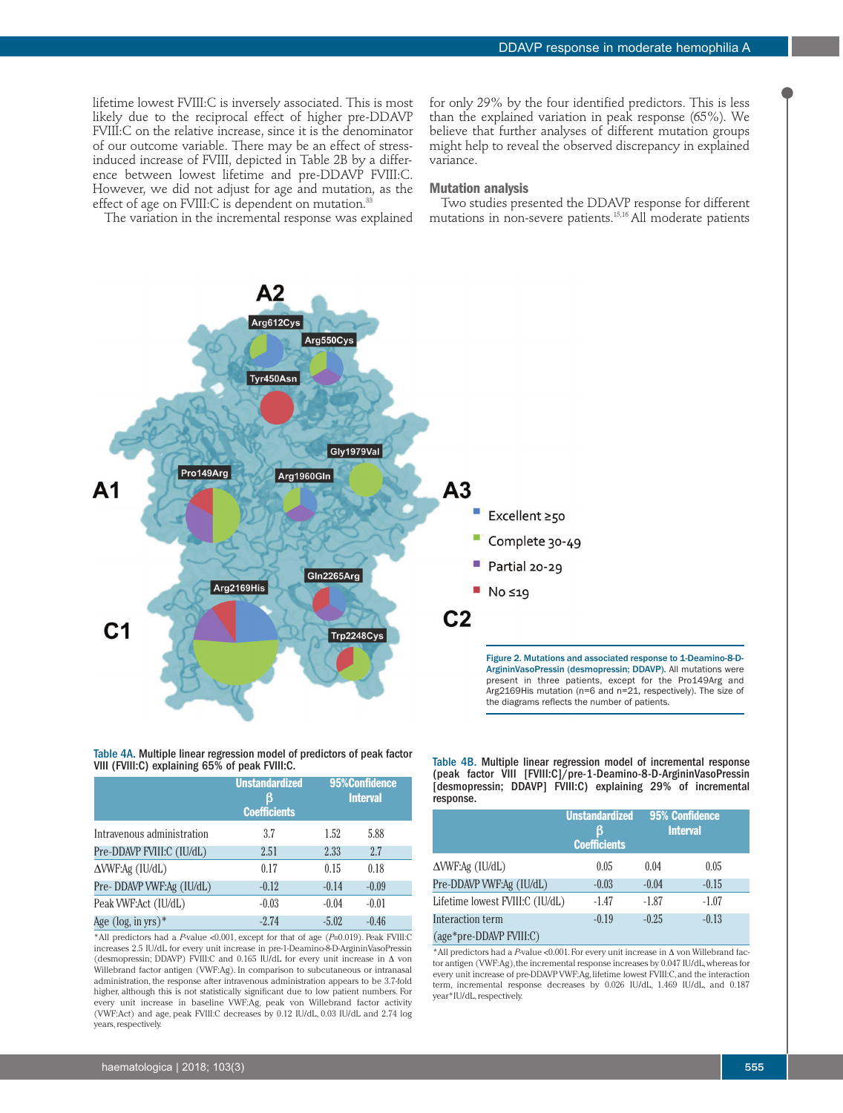lifetime lowest FVIII:C is inversely associated. This is most likely due to the reciprocal effect of higher pre-DDAVP FVIII:C on the relative increase, since it is the denominator of our outcome variable. There may be an effect of stressinduced increase of FVIII, depicted in Table 2B by a difference between lowest lifetime and pre-DDAVP FVIII:C. However, we did not adjust for age and mutation, as the effect of age on FVIII:C is dependent on mutation. $35$ 

The variation in the incremental response was explained

for only 29% by the four identified predictors. This is less than the explained variation in peak response (65%). We believe that further analyses of different mutation groups might help to reveal the observed discrepancy in explained variance.

#### **Mutation analysis**

Two studies presented the DDAVP response for different mutations in non-severe patients.<sup>15,16</sup> All moderate patients

Α2 Arg612Cys Arg550Cys Tyr450Asn Gly1979Val Pro149Arg Arg1960GIn  $A<sub>3</sub>$ А1 Excellent ≥50 Complete 30-49 Partial 20-29 Gln2265Arg Arg2169His  $\blacksquare$  No  $\leq$ 19  $C<sub>2</sub>$  $C<sub>1</sub>$ Trp2248Cys Figure 2. Mutations and associated response to 1-Deamino-8-D-ArgininVasoPressin (desmopressin; DDAVP). All mutations were present in three patients, except for the Pro149Arg and Arg2169His mutation (n=6 and n=21, respectively). The size of the diagrams reflects the number of patients.

Table 4A. Multiple linear regression model of predictors of peak factor VIII (FVIII:C) explaining 65% of peak FVIII:C.

|                                       | <b>Unstandardized</b><br>В<br><b>Coefficients</b> | 95%Confidence<br><b>Interval</b> |         |  |
|---------------------------------------|---------------------------------------------------|----------------------------------|---------|--|
| Intravenous administration            | 3.7                                               | 1.52                             | 5.88    |  |
| Pre-DDAVP FVIII:C (IU/dL)             | 2.51                                              | 2.33                             | 2.7     |  |
| $\triangle$ VWF:Ag (IU/dL)            | 0.17                                              | 0.15                             | 0.18    |  |
| Pre-DDAVP VWF:Ag (IU/dL)              | $-0.12$                                           | $-0.14$                          | $-0.09$ |  |
| Peak VWF:Act (IU/dL)                  | $-0.03$                                           | $-0.04$                          | $-0.01$ |  |
| Age $(\log, \text{in} \text{ yrs})^*$ | $-2.74$                                           | $-5.02$                          | $-0.46$ |  |

\*All predictors had a *P*-value <0.001, except for that of age (*P*=0.019). Peak FVIII:C increases 2.5 IU/dL for every unit increase in pre-1-Deamino-8-D-ArgininVasoPressin (desmopressin; DDAVP) FVIII:C and 0.165 IU/dL for every unit increase in  $\Delta$  von Willebrand factor antigen (VWF:Ag). In comparison to subcutaneous or intranasal administration, the response after intravenous administration appears to be 3.7-fold higher, although this is not statistically significant due to low patient numbers. For every unit increase in baseline VWF:Ag, peak von Willebrand factor activity (VWF:Act) and age, peak FVIII:C decreases by 0.12 IU/dL, 0.03 IU/dL and 2.74 log years, respectively.

Table 4B. Multiple linear regression model of incremental response (peak factor VIII [FVIII:C]/pre-1-Deamino-8-D-ArgininVasoPressin [desmopressin; DDAVP] FVIII: C) explaining 29% of incremental response.

|                                 | <b>Unstandardized</b><br>ß<br><b>Coefficients</b> |         | <b>95% Confidence</b><br><b>Interval</b> |
|---------------------------------|---------------------------------------------------|---------|------------------------------------------|
| $\triangle$ VWF:Ag (IU/dL)      | 0.05                                              | 0.04    | 0.05                                     |
| Pre-DDAVP VWF:Ag (IU/dL)        | $-0.03$                                           | $-0.04$ | $-0.15$                                  |
| Lifetime lowest FVIII:C (IU/dL) | $-1.47$                                           | $-1.87$ | $-1.07$                                  |
| Interaction term                | $-0.19$                                           | $-0.25$ | $-0.13$                                  |
| (age*pre-DDAVP FVIII:C)         |                                                   |         |                                          |

 $*$ All predictors had a *P*-value <0.001. For every unit increase in  $\Delta$  von Willebrand factor antigen (VWF:Ag), the incremental response increases by 0.047 IU/dL, whereas for every unit increase of pre-DDAVP VWF:Ag, lifetime lowest FVIII:C, and the interaction term, incremental response decreases by 0.026 IU/dL, 1.469 IU/dL, and 0.187 year\*IU/dL, respectively.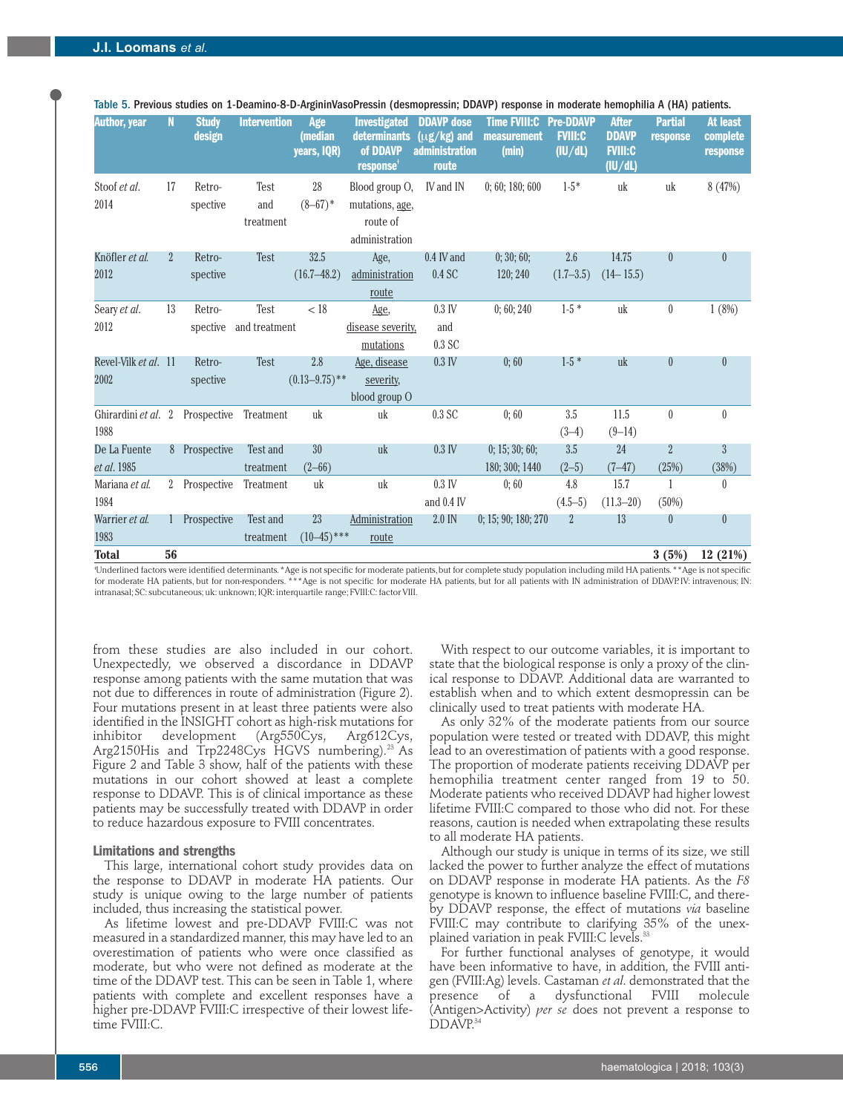| <b>Author, year</b>                     | N              | <b>Study</b><br>design | <b>Intervention</b>            | Age<br>(median<br>years, IQR) | <b>Investigated</b><br><b>determinants</b><br>of DDAVP<br>response <sup>+</sup> | <b>DDAVP</b> dose<br>$(\mu$ g/kg) and<br><b>administration</b><br>route | <b>Time FVIII:C</b><br>measurement<br>(min) | <b>Pre-DDAVP</b><br><b>FVIII:C</b><br>(IU/dL) | <b>After</b><br><b>DDAVP</b><br><b>FVIII:C</b><br>(IU/dL) | <b>Partial</b><br>response | At least<br>complete<br>response |
|-----------------------------------------|----------------|------------------------|--------------------------------|-------------------------------|---------------------------------------------------------------------------------|-------------------------------------------------------------------------|---------------------------------------------|-----------------------------------------------|-----------------------------------------------------------|----------------------------|----------------------------------|
| Stoof et al.<br>2014                    | 17             | Retro-<br>spective     | Test<br>and<br>treatment       | 28<br>$(8-67)$ *              | Blood group O,<br>mutations, age,<br>route of<br>administration                 | IV and IN                                                               | 0; 60; 180; 600                             | $1-5*$                                        | uk                                                        | uk                         | 8 (47%)                          |
| Knöfler et al.<br>2012                  | $\overline{2}$ | Retro-<br>spective     | <b>Test</b>                    | 32.5<br>$(16.7 - 48.2)$       | Age,<br>administration<br>route                                                 | 0.4 IV and<br>0.4 SC                                                    | 0; 30; 60;<br>120; 240                      | 2.6<br>$(1.7-3.5)$                            | 14.75<br>$(14 - 15.5)$                                    | $\theta$                   | $\theta$                         |
| Seary et al.<br>2012                    | 13             | Retro-                 | Test<br>spective and treatment | < 18                          | Age,<br>disease severity,<br>mutations                                          | $0.3$ IV<br>and<br>0.3 <sub>SC</sub>                                    | 0;60;240                                    | $1-5*$                                        | uk                                                        | $\theta$                   | 1(8%)                            |
| Revel-Vilk et al. 11<br>2002            |                | Retro-<br>spective     | Test                           | 2.8<br>$(0.13 - 9.75)$ **     | Age, disease<br>severity,<br>blood group O                                      | $0.3$ IV                                                                | 0:60                                        | $1-5*$                                        | uk                                                        | $\theta$                   | $\theta$                         |
| Ghirardini et al. 2 Prospective<br>1988 |                |                        | Treatment                      | uk                            | uk                                                                              | 0.3 <sub>SC</sub>                                                       | 0:60                                        | 3.5<br>$(3-4)$                                | 11.5<br>$(9-14)$                                          | $\theta$                   | $\mathbf{0}$                     |
| De La Fuente<br>et al. 1985             |                | 8 Prospective          | Test and<br>treatment          | 30<br>$(2 - 66)$              | uk                                                                              | $0.3$ IV                                                                | 0; 15; 30; 60;<br>180; 300; 1440            | 3.5<br>$(2-5)$                                | 24<br>$(7 - 47)$                                          | $\overline{2}$<br>(25%)    | $\overline{3}$<br>(38%)          |
| Mariana et al.<br>1984                  |                | 2 Prospective          | Treatment                      | uk                            | uk                                                                              | $0.3$ IV<br>and 0.4 IV                                                  | 0:60                                        | 4.8<br>$(4.5-5)$                              | 15.7<br>$(11.3 - 20)$                                     | (50%)                      | $\theta$                         |
| Warrier et al.<br>1983                  |                | 1 Prospective          | Test and<br>treatment          | 23<br>$(10-45)$ ***           | Administration<br>route                                                         | 2.0 IN                                                                  | 0: 15: 90: 180: 270                         | $\overline{2}$                                | 13                                                        | $\theta$                   | $\theta$                         |
| <b>Total</b>                            | 56             |                        |                                |                               |                                                                                 |                                                                         |                                             |                                               |                                                           | 3(5%)                      | 12(21%)                          |

Table 5. Previous studies on 1-Deamino-8-D-ArgininVasoPressin (desmopressin; DDAVP) response in moderate hemophilia A (HA) patients.

Ɨ Underlined factors were identified determinants. \*Age is not specific for moderate patients, but for complete study population including mild HA patients. \*\*Age is not specific for moderate HA patients, but for non-responders. \*\*\*Age is not specific for moderate HA patients, but for all patients with IN administration of DDAVP. IV: intravenous; IN: intranasal; SC: subcutaneous; uk: unknown; IQR: interquartile range; FVIII:C: factor VIII.

from these studies are also included in our cohort. Unexpectedly, we observed a discordance in DDAVP response among patients with the same mutation that was not due to differences in route of administration (Figure 2). Four mutations present in at least three patients were also identified in the INSIGHT cohort as high-risk mutations for inhibitor development (Arg550Cys, Arg612Cys, Arg2150His and Trp2248Cys HGVS numbering).<sup>23</sup> As Figure 2 and Table 3 show, half of the patients with these mutations in our cohort showed at least a complete response to DDAVP. This is of clinical importance as these patients may be successfully treated with DDAVP in order to reduce hazardous exposure to FVIII concentrates.

#### **Limitations and strengths**

This large, international cohort study provides data on the response to DDAVP in moderate HA patients. Our study is unique owing to the large number of patients included, thus increasing the statistical power.

As lifetime lowest and pre-DDAVP FVIII:C was not measured in a standardized manner, this may have led to an overestimation of patients who were once classified as moderate, but who were not defined as moderate at the time of the DDAVP test. This can be seen in Table 1, where patients with complete and excellent responses have a higher pre-DDAVP FVIII:C irrespective of their lowest lifetime FVIII:C.

With respect to our outcome variables, it is important to state that the biological response is only a proxy of the clinical response to DDAVP. Additional data are warranted to establish when and to which extent desmopressin can be clinically used to treat patients with moderate HA.

As only 32% of the moderate patients from our source population were tested or treated with DDAVP, this might lead to an overestimation of patients with a good response. The proportion of moderate patients receiving DDAVP per hemophilia treatment center ranged from 19 to 50. Moderate patients who received DDAVP had higher lowest lifetime FVIII:C compared to those who did not. For these reasons, caution is needed when extrapolating these results to all moderate HA patients.

Although our study is unique in terms of its size, we still lacked the power to further analyze the effect of mutations on DDAVP response in moderate HA patients. As the *F8* genotype is known to influence baseline FVIII:C, and thereby DDAVP response, the effect of mutations *via* baseline FVIII:C may contribute to clarifying 35% of the unexplained variation in peak FVIII:C levels.<sup>33</sup>

For further functional analyses of genotype, it would have been informative to have, in addition, the FVIII antigen (FVIII:Ag) levels. Castaman *et al*. demonstrated that the presence of a dysfunctional FVIII molecule (Antigen>Activity) *per se* does not prevent a response to DDAVP.<sup>34</sup>